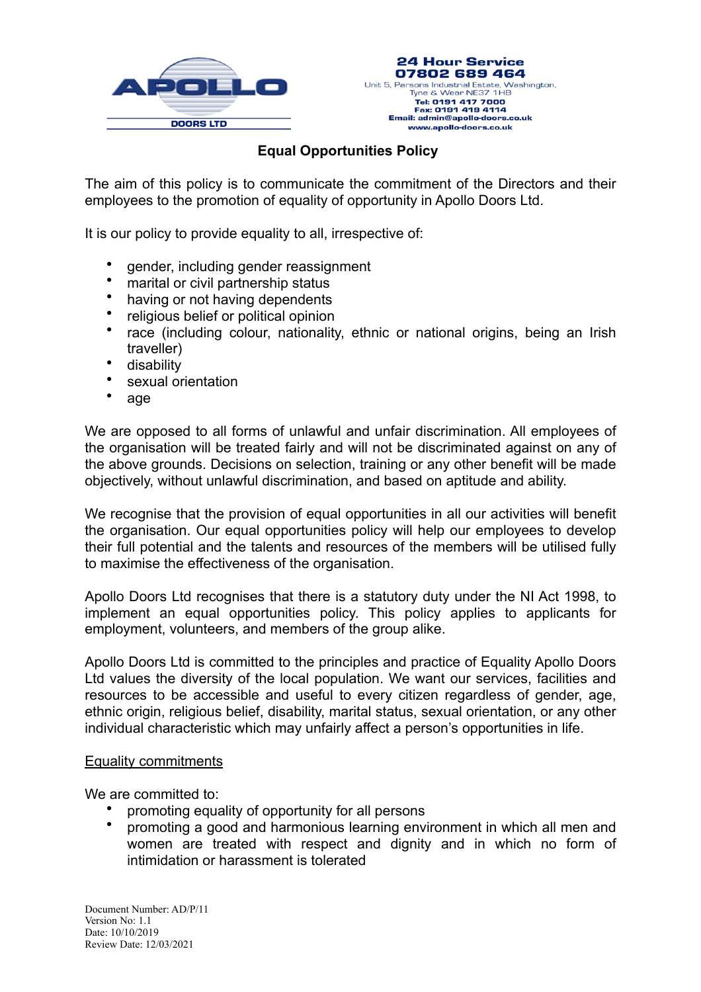



## **Equal Opportunities Policy**

The aim of this policy is to communicate the commitment of the Directors and their employees to the promotion of equality of opportunity in Apollo Doors Ltd.

It is our policy to provide equality to all, irrespective of:

- gender, including gender reassignment
- marital or civil partnership status
- having or not having dependents
- religious belief or political opinion
- race (including colour, nationality, ethnic or national origins, being an Irish traveller)
- disability
- sexual orientation
- age

We are opposed to all forms of unlawful and unfair discrimination. All employees of the organisation will be treated fairly and will not be discriminated against on any of the above grounds. Decisions on selection, training or any other benefit will be made objectively, without unlawful discrimination, and based on aptitude and ability.

We recognise that the provision of equal opportunities in all our activities will benefit the organisation. Our equal opportunities policy will help our employees to develop their full potential and the talents and resources of the members will be utilised fully to maximise the effectiveness of the organisation.

Apollo Doors Ltd recognises that there is a statutory duty under the NI Act 1998, to implement an equal opportunities policy. This policy applies to applicants for employment, volunteers, and members of the group alike.

Apollo Doors Ltd is committed to the principles and practice of Equality Apollo Doors Ltd values the diversity of the local population. We want our services, facilities and resources to be accessible and useful to every citizen regardless of gender, age, ethnic origin, religious belief, disability, marital status, sexual orientation, or any other individual characteristic which may unfairly affect a person's opportunities in life.

## Equality commitments

We are committed to:

- promoting equality of opportunity for all persons
- promoting a good and harmonious learning environment in which all men and women are treated with respect and dignity and in which no form of intimidation or harassment is tolerated